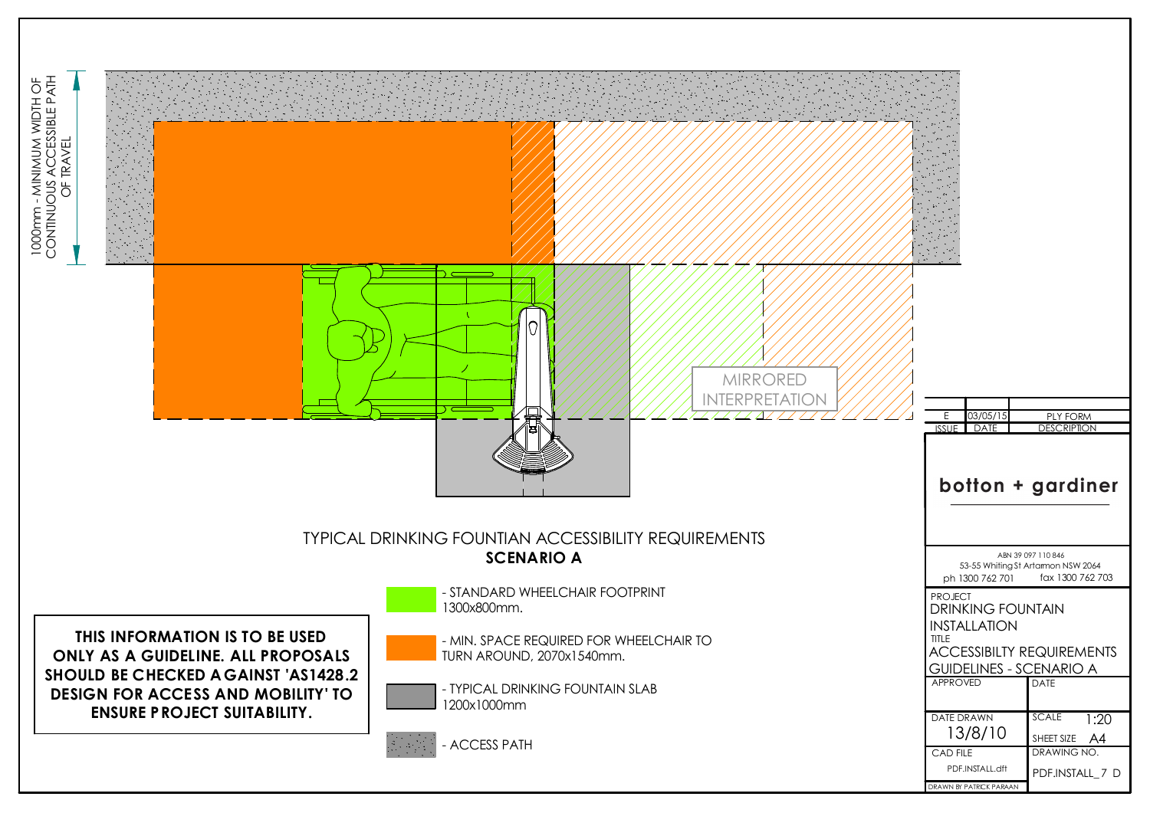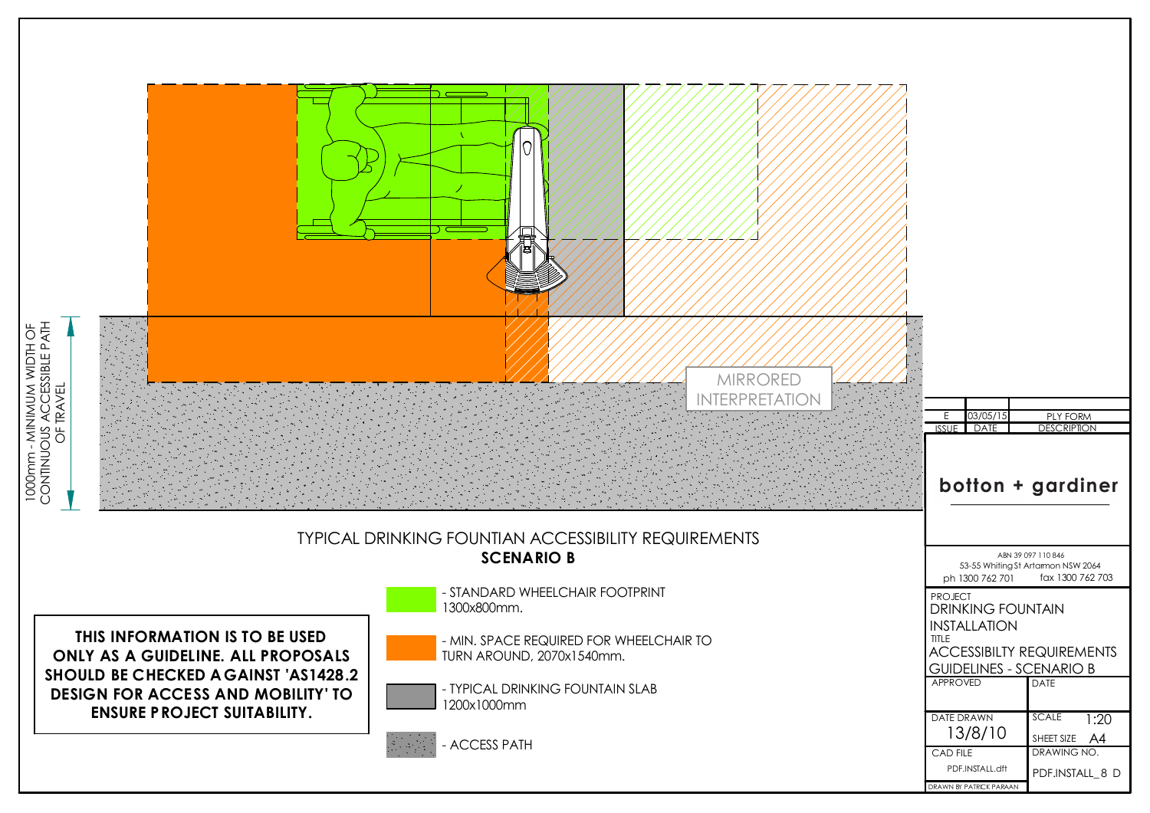